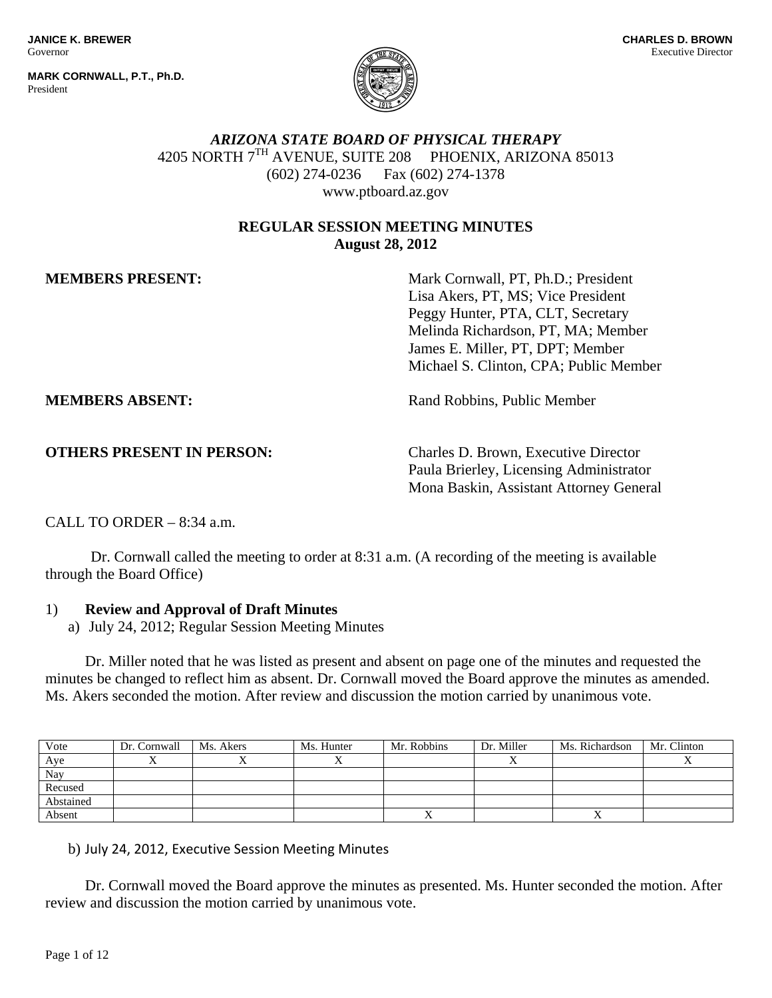**MARK CORNWALL, P.T., Ph.D.** President



# *ARIZONA STATE BOARD OF PHYSICAL THERAPY*  4205 NORTH 7TH AVENUE, SUITE 208 PHOENIX, ARIZONA 85013 (602) 274-0236 Fax (602) 274-1378 www.ptboard.az.gov

## **REGULAR SESSION MEETING MINUTES August 28, 2012**

**MEMBERS PRESENT:** Mark Cornwall, PT, Ph.D.; President Lisa Akers, PT, MS; Vice President Peggy Hunter, PTA, CLT, Secretary Melinda Richardson, PT, MA; Member James E. Miller, PT, DPT; Member Michael S. Clinton, CPA; Public Member

**MEMBERS ABSENT:** Rand Robbins, Public Member

**OTHERS PRESENT IN PERSON:** Charles D. Brown, Executive Director Paula Brierley, Licensing Administrator Mona Baskin, Assistant Attorney General

CALL TO ORDER  $-8:34$  a.m.

 Dr. Cornwall called the meeting to order at 8:31 a.m. (A recording of the meeting is available through the Board Office)

### 1) **Review and Approval of Draft Minutes**

a) July 24, 2012; Regular Session Meeting Minutes

 Dr. Miller noted that he was listed as present and absent on page one of the minutes and requested the minutes be changed to reflect him as absent. Dr. Cornwall moved the Board approve the minutes as amended. Ms. Akers seconded the motion. After review and discussion the motion carried by unanimous vote.

| Vote      | Dr. Cornwall | Ms. Akers | Ms. Hunter | Mr. Robbins | Dr. Miller | Ms. Richardson | Mr. Clinton |
|-----------|--------------|-----------|------------|-------------|------------|----------------|-------------|
| Aye       |              |           |            |             |            |                |             |
| Nay       |              |           |            |             |            |                |             |
| Recused   |              |           |            |             |            |                |             |
| Abstained |              |           |            |             |            |                |             |
| Absent    |              |           |            |             |            |                |             |

b) July 24, 2012, Executive Session Meeting Minutes

Dr. Cornwall moved the Board approve the minutes as presented. Ms. Hunter seconded the motion. After review and discussion the motion carried by unanimous vote.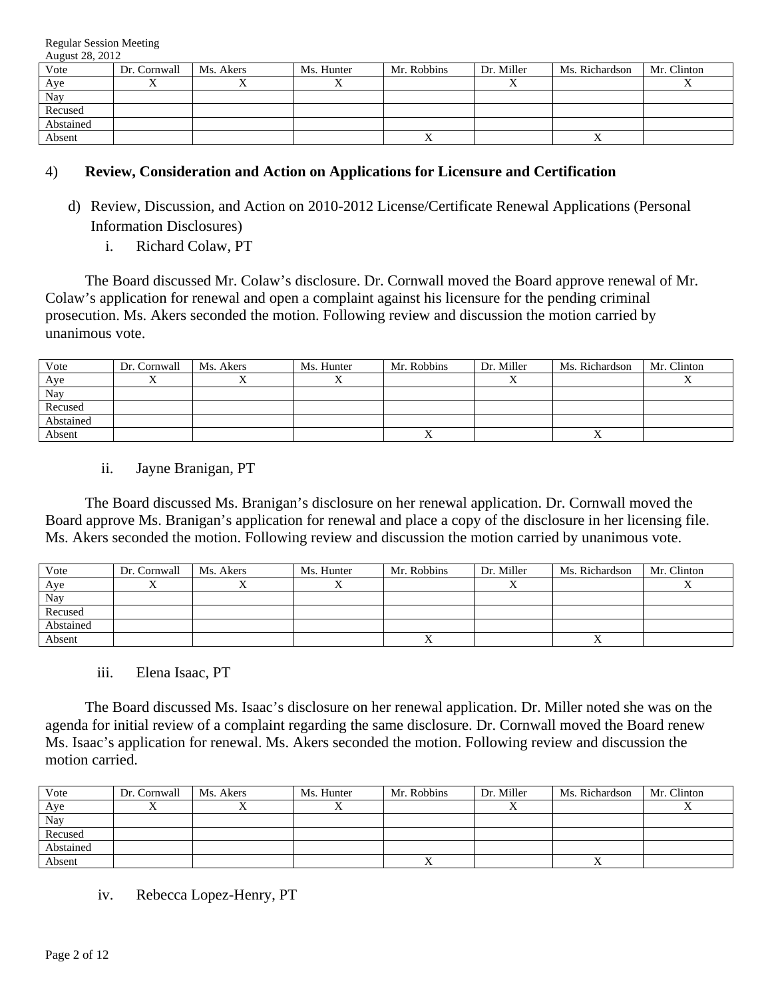| Vote      | Dr. Cornwall | Ms. Akers | Ms. Hunter | Mr. Robbins | Dr. Miller | Ms. Richardson | Mr. Clinton |
|-----------|--------------|-----------|------------|-------------|------------|----------------|-------------|
| Aye       |              |           |            |             |            |                |             |
| Nay       |              |           |            |             |            |                |             |
| Recused   |              |           |            |             |            |                |             |
| Abstained |              |           |            |             |            |                |             |
| Absent    |              |           |            |             |            | ∡              |             |

### 4) **Review, Consideration and Action on Applications for Licensure and Certification**

- d) Review, Discussion, and Action on 2010-2012 License/Certificate Renewal Applications (Personal Information Disclosures)
	- i. Richard Colaw, PT

 The Board discussed Mr. Colaw's disclosure. Dr. Cornwall moved the Board approve renewal of Mr. Colaw's application for renewal and open a complaint against his licensure for the pending criminal prosecution. Ms. Akers seconded the motion. Following review and discussion the motion carried by unanimous vote.

| Vote      | Dr. Cornwall | Ms. Akers | Ms. Hunter | Mr. Robbins | Dr. Miller | Ms. Richardson | Mr. Clinton |
|-----------|--------------|-----------|------------|-------------|------------|----------------|-------------|
| Aye       |              |           |            |             |            |                |             |
| Nay       |              |           |            |             |            |                |             |
| Recused   |              |           |            |             |            |                |             |
| Abstained |              |           |            |             |            |                |             |
| Absent    |              |           |            |             |            |                |             |

ii. Jayne Branigan, PT

 The Board discussed Ms. Branigan's disclosure on her renewal application. Dr. Cornwall moved the Board approve Ms. Branigan's application for renewal and place a copy of the disclosure in her licensing file. Ms. Akers seconded the motion. Following review and discussion the motion carried by unanimous vote.

| Vote      | Dr. Cornwall | Ms. Akers | Ms. Hunter | Mr. Robbins | Dr. Miller | Ms. Richardson | Mr. Clinton |
|-----------|--------------|-----------|------------|-------------|------------|----------------|-------------|
| Aye       |              |           |            |             |            |                |             |
| Nay       |              |           |            |             |            |                |             |
| Recused   |              |           |            |             |            |                |             |
| Abstained |              |           |            |             |            |                |             |
| Absent    |              |           |            |             |            | ∡              |             |

### iii. Elena Isaac, PT

 The Board discussed Ms. Isaac's disclosure on her renewal application. Dr. Miller noted she was on the agenda for initial review of a complaint regarding the same disclosure. Dr. Cornwall moved the Board renew Ms. Isaac's application for renewal. Ms. Akers seconded the motion. Following review and discussion the motion carried.

| Vote      | Dr. Cornwall | Ms. Akers | Ms. Hunter | Mr. Robbins | Dr. Miller | Ms. Richardson | Mr. Clinton |
|-----------|--------------|-----------|------------|-------------|------------|----------------|-------------|
| Aye       |              |           |            |             |            |                |             |
| Nay       |              |           |            |             |            |                |             |
| Recused   |              |           |            |             |            |                |             |
| Abstained |              |           |            |             |            |                |             |
| Absent    |              |           |            |             |            |                |             |

### iv. Rebecca Lopez-Henry, PT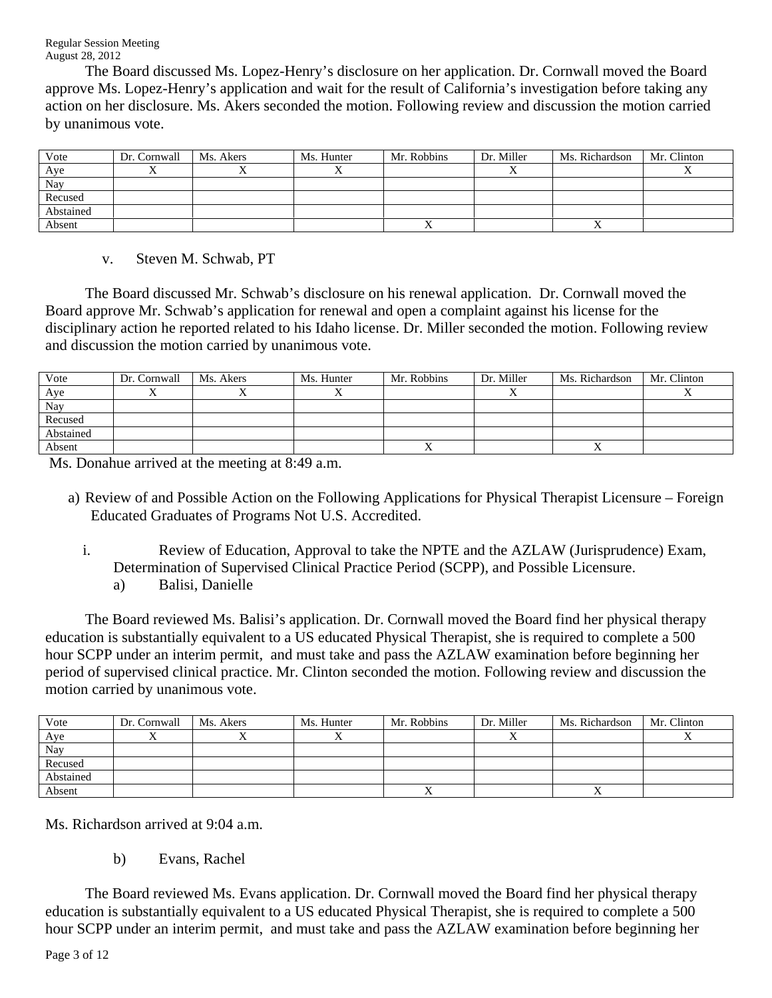The Board discussed Ms. Lopez-Henry's disclosure on her application. Dr. Cornwall moved the Board approve Ms. Lopez-Henry's application and wait for the result of California's investigation before taking any action on her disclosure. Ms. Akers seconded the motion. Following review and discussion the motion carried by unanimous vote.

| Vote      | Dr. Cornwall | Ms. Akers | Ms. Hunter | Mr. Robbins | Dr. Miller | Ms. Richardson | Mr. Clinton |
|-----------|--------------|-----------|------------|-------------|------------|----------------|-------------|
| Aye       |              |           |            |             |            |                |             |
| Nay       |              |           |            |             |            |                |             |
| Recused   |              |           |            |             |            |                |             |
| Abstained |              |           |            |             |            |                |             |
| Absent    |              |           |            |             |            |                |             |

v. Steven M. Schwab, PT

 The Board discussed Mr. Schwab's disclosure on his renewal application. Dr. Cornwall moved the Board approve Mr. Schwab's application for renewal and open a complaint against his license for the disciplinary action he reported related to his Idaho license. Dr. Miller seconded the motion. Following review and discussion the motion carried by unanimous vote.

| Vote      | Dr. Cornwall | Ms. Akers | Ms. Hunter | Mr. Robbins | Dr. Miller | Ms. Richardson | Mr. Clinton |
|-----------|--------------|-----------|------------|-------------|------------|----------------|-------------|
| Aye       |              |           |            |             |            |                |             |
| Nay       |              |           |            |             |            |                |             |
| Recused   |              |           |            |             |            |                |             |
| Abstained |              |           |            |             |            |                |             |
| Absent    |              |           |            |             |            |                |             |

Ms. Donahue arrived at the meeting at 8:49 a.m.

- a) Review of and Possible Action on the Following Applications for Physical Therapist Licensure Foreign Educated Graduates of Programs Not U.S. Accredited.
	- i. Review of Education, Approval to take the NPTE and the AZLAW (Jurisprudence) Exam, Determination of Supervised Clinical Practice Period (SCPP), and Possible Licensure. a) Balisi, Danielle

 The Board reviewed Ms. Balisi's application. Dr. Cornwall moved the Board find her physical therapy education is substantially equivalent to a US educated Physical Therapist, she is required to complete a 500 hour SCPP under an interim permit, and must take and pass the AZLAW examination before beginning her period of supervised clinical practice. Mr. Clinton seconded the motion. Following review and discussion the motion carried by unanimous vote.

| Vote      | Dr. Cornwall | Ms. Akers | Ms. Hunter | Mr. Robbins | Dr. Miller | Ms. Richardson | Mr. Clinton |
|-----------|--------------|-----------|------------|-------------|------------|----------------|-------------|
| Aye       |              |           |            |             |            |                |             |
| Nay       |              |           |            |             |            |                |             |
| Recused   |              |           |            |             |            |                |             |
| Abstained |              |           |            |             |            |                |             |
| Absent    |              |           |            |             |            |                |             |

Ms. Richardson arrived at 9:04 a.m.

b) Evans, Rachel

 The Board reviewed Ms. Evans application. Dr. Cornwall moved the Board find her physical therapy education is substantially equivalent to a US educated Physical Therapist, she is required to complete a 500 hour SCPP under an interim permit, and must take and pass the AZLAW examination before beginning her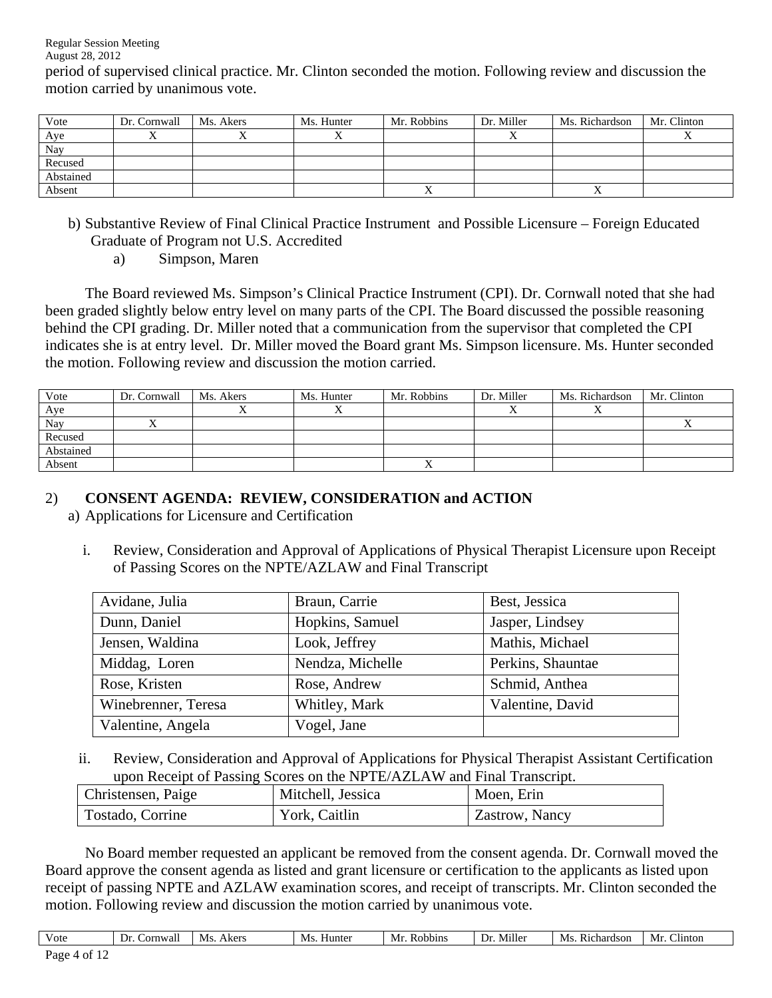period of supervised clinical practice. Mr. Clinton seconded the motion. Following review and discussion the motion carried by unanimous vote.

| Vote      | Dr. Cornwall | Ms. Akers | Ms. Hunter | Mr. Robbins | Dr. Miller | Ms. Richardson | Mr. Clinton |
|-----------|--------------|-----------|------------|-------------|------------|----------------|-------------|
| Aye       |              |           |            |             |            |                |             |
| Nay       |              |           |            |             |            |                |             |
| Recused   |              |           |            |             |            |                |             |
| Abstained |              |           |            |             |            |                |             |
| Absent    |              |           |            |             |            |                |             |

- b) Substantive Review of Final Clinical Practice Instrument and Possible Licensure Foreign Educated Graduate of Program not U.S. Accredited
	- a) Simpson, Maren

 The Board reviewed Ms. Simpson's Clinical Practice Instrument (CPI). Dr. Cornwall noted that she had been graded slightly below entry level on many parts of the CPI. The Board discussed the possible reasoning behind the CPI grading. Dr. Miller noted that a communication from the supervisor that completed the CPI indicates she is at entry level. Dr. Miller moved the Board grant Ms. Simpson licensure. Ms. Hunter seconded the motion. Following review and discussion the motion carried.

| Vote      | Dr. Cornwall | Ms. Akers | Ms. Hunter | Mr. Robbins | Dr. Miller | Ms. Richardson | Mr. Clinton |
|-----------|--------------|-----------|------------|-------------|------------|----------------|-------------|
| Aye       |              |           |            |             |            |                |             |
| Nay       |              |           |            |             |            |                |             |
| Recused   |              |           |            |             |            |                |             |
| Abstained |              |           |            |             |            |                |             |
| Absent    |              |           |            |             |            |                |             |

## 2) **CONSENT AGENDA: REVIEW, CONSIDERATION and ACTION**

- a) Applications for Licensure and Certification
	- i. Review, Consideration and Approval of Applications of Physical Therapist Licensure upon Receipt of Passing Scores on the NPTE/AZLAW and Final Transcript

| Avidane, Julia      | Braun, Carrie    | Best, Jessica     |
|---------------------|------------------|-------------------|
| Dunn, Daniel        | Hopkins, Samuel  | Jasper, Lindsey   |
| Jensen, Waldina     | Look, Jeffrey    | Mathis, Michael   |
| Middag, Loren       | Nendza, Michelle | Perkins, Shauntae |
| Rose, Kristen       | Rose, Andrew     | Schmid, Anthea    |
| Winebrenner, Teresa | Whitley, Mark    | Valentine, David  |
| Valentine, Angela   | Vogel, Jane      |                   |

ii. Review, Consideration and Approval of Applications for Physical Therapist Assistant Certification upon Receipt of Passing Scores on the NPTE/AZLAW and Final Transcript.

| Christensen, Paige | Mitchell, Jessica | Moen, Erin     |  |  |  |  |
|--------------------|-------------------|----------------|--|--|--|--|
| Tostado, Corrine   | York, Caitlin     | Zastrow, Nancy |  |  |  |  |

 No Board member requested an applicant be removed from the consent agenda. Dr. Cornwall moved the Board approve the consent agenda as listed and grant licensure or certification to the applicants as listed upon receipt of passing NPTE and AZLAW examination scores, and receipt of transcripts. Mr. Clinton seconded the motion. Following review and discussion the motion carried by unanimous vote.

| Vote                     | Cornwall | Ms.<br>Akers | Ms.<br>Hunter | Mı<br>Robbins | <br>Miller<br>Dr | M.<br>Richardson | $\sim$<br>Clinton<br>Mr |
|--------------------------|----------|--------------|---------------|---------------|------------------|------------------|-------------------------|
| $\mathbf{a}$<br>$\sim$ + |          |              |               |               |                  |                  |                         |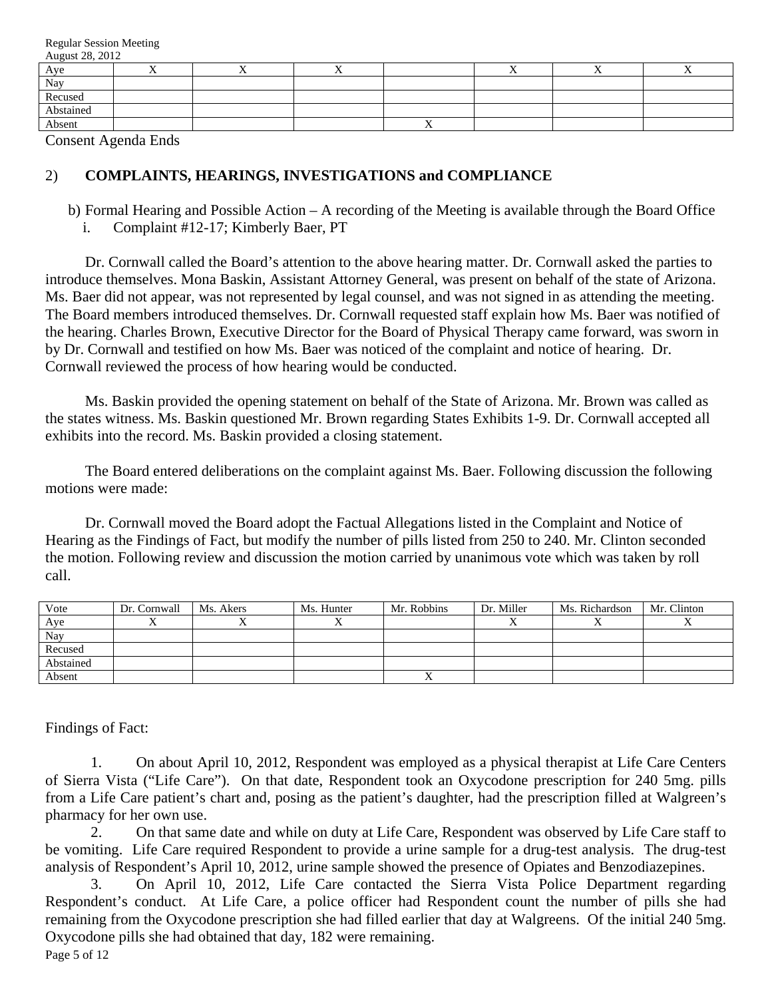| Aye       |  | . . |    |  | -- |
|-----------|--|-----|----|--|----|
| Nay       |  |     |    |  |    |
| Recused   |  |     |    |  |    |
| Abstained |  |     |    |  |    |
| Absent    |  |     | ∡⊾ |  |    |

Consent Agenda Ends

#### 2) **COMPLAINTS, HEARINGS, INVESTIGATIONS and COMPLIANCE**

b) Formal Hearing and Possible Action – A recording of the Meeting is available through the Board Office

i. Complaint #12-17; Kimberly Baer, PT

 Dr. Cornwall called the Board's attention to the above hearing matter. Dr. Cornwall asked the parties to introduce themselves. Mona Baskin, Assistant Attorney General, was present on behalf of the state of Arizona. Ms. Baer did not appear, was not represented by legal counsel, and was not signed in as attending the meeting. The Board members introduced themselves. Dr. Cornwall requested staff explain how Ms. Baer was notified of the hearing. Charles Brown, Executive Director for the Board of Physical Therapy came forward, was sworn in by Dr. Cornwall and testified on how Ms. Baer was noticed of the complaint and notice of hearing. Dr. Cornwall reviewed the process of how hearing would be conducted.

 Ms. Baskin provided the opening statement on behalf of the State of Arizona. Mr. Brown was called as the states witness. Ms. Baskin questioned Mr. Brown regarding States Exhibits 1-9. Dr. Cornwall accepted all exhibits into the record. Ms. Baskin provided a closing statement.

 The Board entered deliberations on the complaint against Ms. Baer. Following discussion the following motions were made:

 Dr. Cornwall moved the Board adopt the Factual Allegations listed in the Complaint and Notice of Hearing as the Findings of Fact, but modify the number of pills listed from 250 to 240. Mr. Clinton seconded the motion. Following review and discussion the motion carried by unanimous vote which was taken by roll call.

| Vote      | Dr. Cornwall | Ms. Akers | Ms. Hunter | Mr. Robbins | Dr. Miller | Ms. Richardson | Mr. Clinton |
|-----------|--------------|-----------|------------|-------------|------------|----------------|-------------|
| Aye       |              |           |            |             |            | ∡              |             |
| Nay       |              |           |            |             |            |                |             |
| Recused   |              |           |            |             |            |                |             |
| Abstained |              |           |            |             |            |                |             |
| Absent    |              |           |            |             |            |                |             |

Findings of Fact:

1. On about April 10, 2012, Respondent was employed as a physical therapist at Life Care Centers of Sierra Vista ("Life Care"). On that date, Respondent took an Oxycodone prescription for 240 5mg. pills from a Life Care patient's chart and, posing as the patient's daughter, had the prescription filled at Walgreen's pharmacy for her own use.

2. On that same date and while on duty at Life Care, Respondent was observed by Life Care staff to be vomiting. Life Care required Respondent to provide a urine sample for a drug-test analysis. The drug-test analysis of Respondent's April 10, 2012, urine sample showed the presence of Opiates and Benzodiazepines.

3. On April 10, 2012, Life Care contacted the Sierra Vista Police Department regarding Respondent's conduct. At Life Care, a police officer had Respondent count the number of pills she had remaining from the Oxycodone prescription she had filled earlier that day at Walgreens. Of the initial 240 5mg. Oxycodone pills she had obtained that day, 182 were remaining.

Page 5 of 12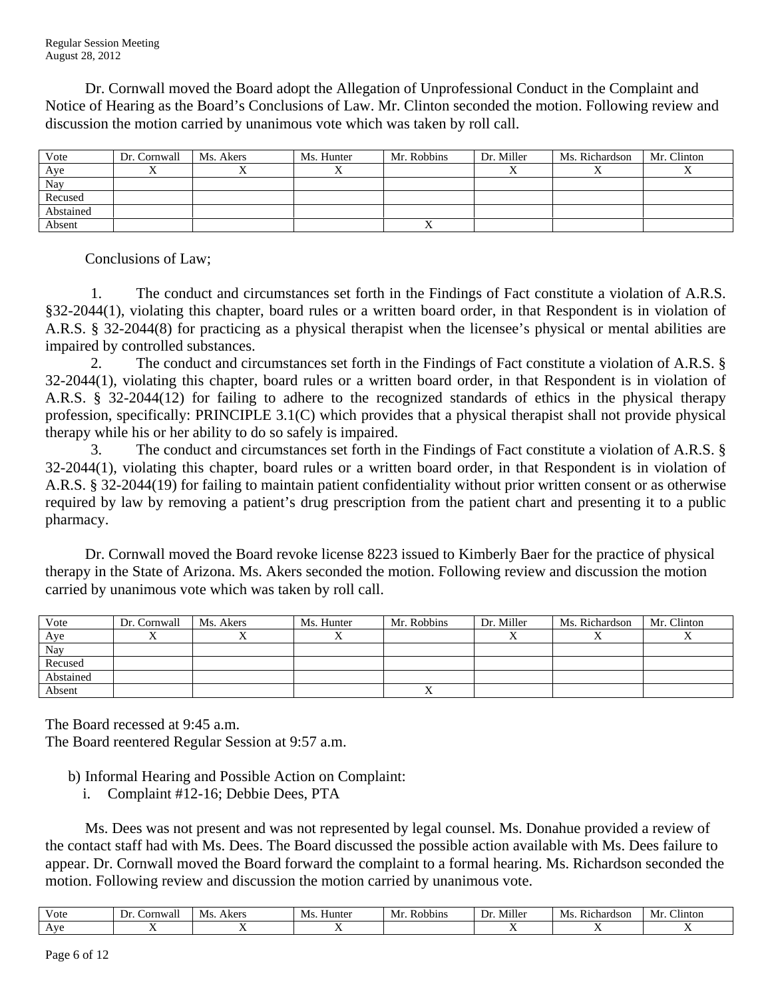Dr. Cornwall moved the Board adopt the Allegation of Unprofessional Conduct in the Complaint and Notice of Hearing as the Board's Conclusions of Law. Mr. Clinton seconded the motion. Following review and discussion the motion carried by unanimous vote which was taken by roll call.

| Vote      | Dr. Cornwall | Ms. Akers | Ms. Hunter | Mr. Robbins | Dr. Miller | Ms. Richardson | Mr. Clinton |
|-----------|--------------|-----------|------------|-------------|------------|----------------|-------------|
| Aye       |              |           |            |             |            |                |             |
| Nay       |              |           |            |             |            |                |             |
| Recused   |              |           |            |             |            |                |             |
| Abstained |              |           |            |             |            |                |             |
| Absent    |              |           |            |             |            |                |             |

Conclusions of Law;

1. The conduct and circumstances set forth in the Findings of Fact constitute a violation of A.R.S. §32-2044(1), violating this chapter, board rules or a written board order, in that Respondent is in violation of A.R.S. § 32-2044(8) for practicing as a physical therapist when the licensee's physical or mental abilities are impaired by controlled substances.

2. The conduct and circumstances set forth in the Findings of Fact constitute a violation of A.R.S. § 32-2044(1), violating this chapter, board rules or a written board order, in that Respondent is in violation of A.R.S. § 32-2044(12) for failing to adhere to the recognized standards of ethics in the physical therapy profession, specifically: PRINCIPLE 3.1(C) which provides that a physical therapist shall not provide physical therapy while his or her ability to do so safely is impaired.

3. The conduct and circumstances set forth in the Findings of Fact constitute a violation of A.R.S. § 32-2044(1), violating this chapter, board rules or a written board order, in that Respondent is in violation of A.R.S. § 32-2044(19) for failing to maintain patient confidentiality without prior written consent or as otherwise required by law by removing a patient's drug prescription from the patient chart and presenting it to a public pharmacy.

 Dr. Cornwall moved the Board revoke license 8223 issued to Kimberly Baer for the practice of physical therapy in the State of Arizona. Ms. Akers seconded the motion. Following review and discussion the motion carried by unanimous vote which was taken by roll call.

| Vote      | Dr. Cornwall | Ms. Akers | Ms. Hunter | Mr. Robbins | Dr. Miller | Ms. Richardson | Mr. Clinton |
|-----------|--------------|-----------|------------|-------------|------------|----------------|-------------|
| Aye       |              |           |            |             |            |                |             |
| Nay       |              |           |            |             |            |                |             |
| Recused   |              |           |            |             |            |                |             |
| Abstained |              |           |            |             |            |                |             |
| Absent    |              |           |            |             |            |                |             |

The Board recessed at 9:45 a.m. The Board reentered Regular Session at 9:57 a.m.

- b) Informal Hearing and Possible Action on Complaint:
	- i. Complaint #12-16; Debbie Dees, PTA

 Ms. Dees was not present and was not represented by legal counsel. Ms. Donahue provided a review of the contact staff had with Ms. Dees. The Board discussed the possible action available with Ms. Dees failure to appear. Dr. Cornwall moved the Board forward the complaint to a formal hearing. Ms. Richardson seconded the motion. Following review and discussion the motion carried by unanimous vote.

| V ote                      | $-$<br>Cornwall<br>Dr | M.<br>Akers | Ms.<br>Huntei | Robbins<br>Mı | Miller<br>Dr | $\sim$ .<br>Ms<br>Richardson | $\sim$ .<br>Clinton<br>Mr |
|----------------------------|-----------------------|-------------|---------------|---------------|--------------|------------------------------|---------------------------|
| ۱۷۶ ک<br><b><i>LIV</i></b> |                       |             |               |               |              |                              |                           |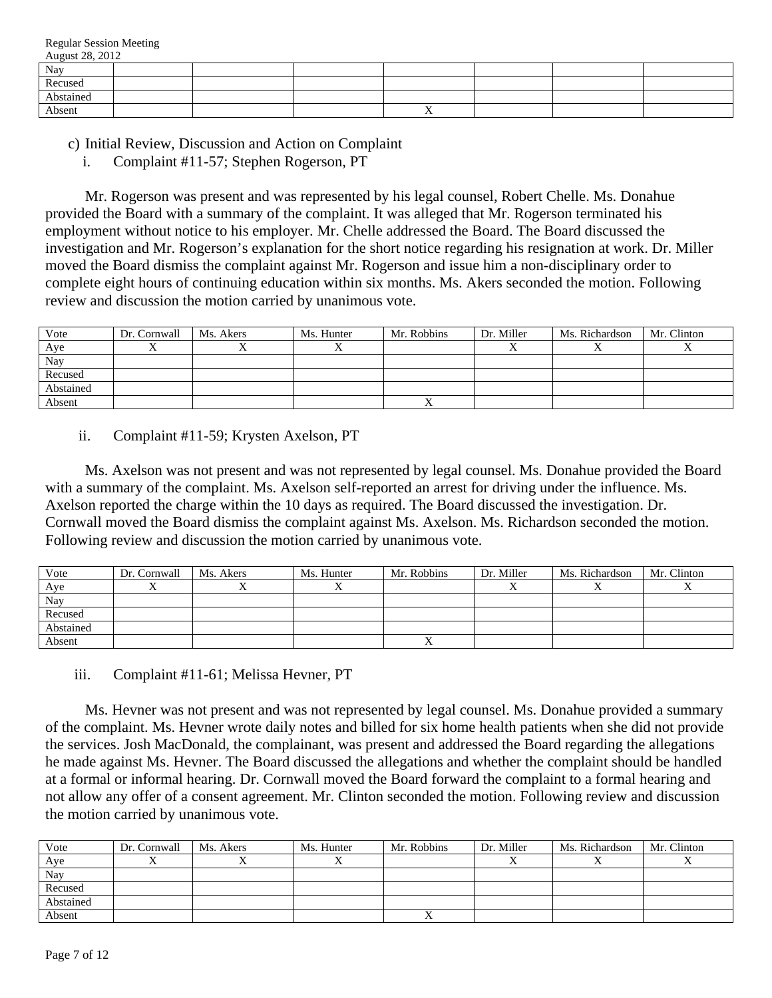| August 20, 2012 |  |  |  |  |
|-----------------|--|--|--|--|
| Nay             |  |  |  |  |
| Recused         |  |  |  |  |
| Abstained       |  |  |  |  |
| Absent          |  |  |  |  |

c) Initial Review, Discussion and Action on Complaint

i. Complaint #11-57; Stephen Rogerson, PT

 Mr. Rogerson was present and was represented by his legal counsel, Robert Chelle. Ms. Donahue provided the Board with a summary of the complaint. It was alleged that Mr. Rogerson terminated his employment without notice to his employer. Mr. Chelle addressed the Board. The Board discussed the investigation and Mr. Rogerson's explanation for the short notice regarding his resignation at work. Dr. Miller moved the Board dismiss the complaint against Mr. Rogerson and issue him a non-disciplinary order to complete eight hours of continuing education within six months. Ms. Akers seconded the motion. Following review and discussion the motion carried by unanimous vote.

| Vote      | Dr. Cornwall | Ms. Akers | Ms. Hunter | Mr. Robbins | Dr. Miller | Ms. Richardson | Mr. Clinton |
|-----------|--------------|-----------|------------|-------------|------------|----------------|-------------|
| Aye       |              |           |            |             |            |                |             |
| Nay       |              |           |            |             |            |                |             |
| Recused   |              |           |            |             |            |                |             |
| Abstained |              |           |            |             |            |                |             |
| Absent    |              |           |            |             |            |                |             |

ii. Complaint #11-59; Krysten Axelson, PT

 Ms. Axelson was not present and was not represented by legal counsel. Ms. Donahue provided the Board with a summary of the complaint. Ms. Axelson self-reported an arrest for driving under the influence. Ms. Axelson reported the charge within the 10 days as required. The Board discussed the investigation. Dr. Cornwall moved the Board dismiss the complaint against Ms. Axelson. Ms. Richardson seconded the motion. Following review and discussion the motion carried by unanimous vote.

| Vote      | Dr. Cornwall | Ms. Akers | Ms. Hunter | Mr. Robbins | Dr. Miller | Ms. Richardson | Mr. Clinton |
|-----------|--------------|-----------|------------|-------------|------------|----------------|-------------|
| Aye       |              |           |            |             |            |                |             |
| Nay       |              |           |            |             |            |                |             |
| Recused   |              |           |            |             |            |                |             |
| Abstained |              |           |            |             |            |                |             |
| Absent    |              |           |            |             |            |                |             |

### iii. Complaint #11-61; Melissa Hevner, PT

 Ms. Hevner was not present and was not represented by legal counsel. Ms. Donahue provided a summary of the complaint. Ms. Hevner wrote daily notes and billed for six home health patients when she did not provide the services. Josh MacDonald, the complainant, was present and addressed the Board regarding the allegations he made against Ms. Hevner. The Board discussed the allegations and whether the complaint should be handled at a formal or informal hearing. Dr. Cornwall moved the Board forward the complaint to a formal hearing and not allow any offer of a consent agreement. Mr. Clinton seconded the motion. Following review and discussion the motion carried by unanimous vote.

| Vote      | Dr. Cornwall | Ms. Akers | Ms. Hunter | Mr. Robbins | Dr. Miller | Ms. Richardson | Mr. Clinton |
|-----------|--------------|-----------|------------|-------------|------------|----------------|-------------|
| Aye       |              |           |            |             |            |                |             |
| Nay       |              |           |            |             |            |                |             |
| Recused   |              |           |            |             |            |                |             |
| Abstained |              |           |            |             |            |                |             |
| Absent    |              |           |            |             |            |                |             |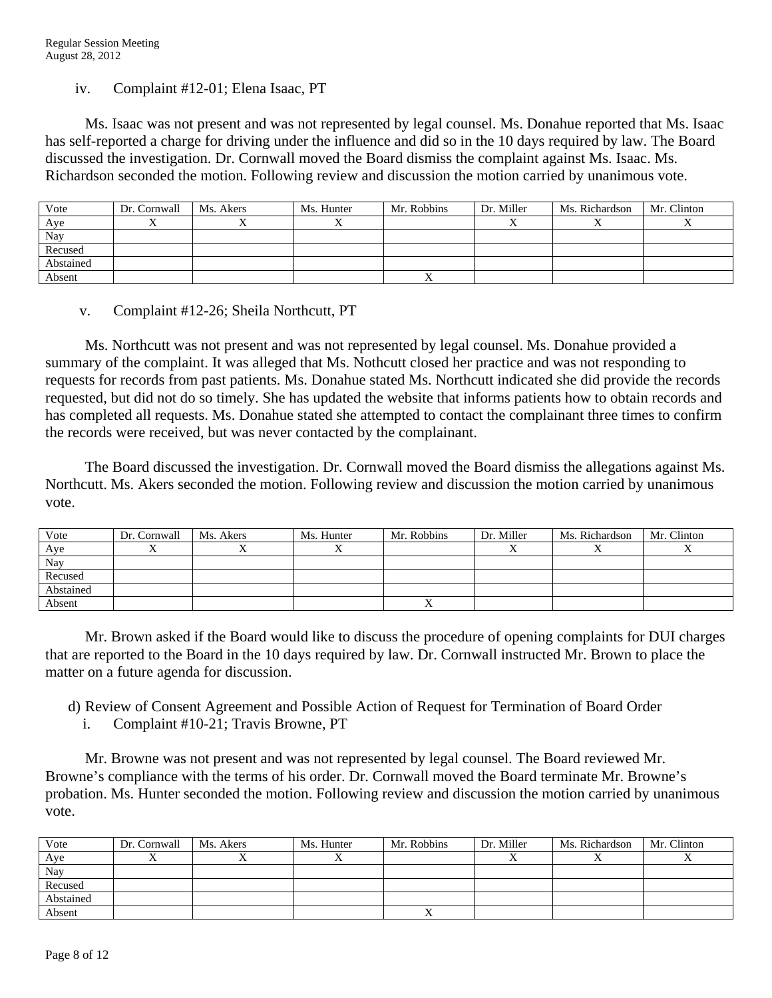iv. Complaint #12-01; Elena Isaac, PT

 Ms. Isaac was not present and was not represented by legal counsel. Ms. Donahue reported that Ms. Isaac has self-reported a charge for driving under the influence and did so in the 10 days required by law. The Board discussed the investigation. Dr. Cornwall moved the Board dismiss the complaint against Ms. Isaac. Ms. Richardson seconded the motion. Following review and discussion the motion carried by unanimous vote.

| Vote      | Dr. Cornwall | Ms. Akers | Ms. Hunter | Mr. Robbins | Dr. Miller | Ms. Richardson | Mr. Clinton |
|-----------|--------------|-----------|------------|-------------|------------|----------------|-------------|
| Aye       |              |           |            |             |            |                |             |
| Nay       |              |           |            |             |            |                |             |
| Recused   |              |           |            |             |            |                |             |
| Abstained |              |           |            |             |            |                |             |
| Absent    |              |           |            |             |            |                |             |

v. Complaint #12-26; Sheila Northcutt, PT

 Ms. Northcutt was not present and was not represented by legal counsel. Ms. Donahue provided a summary of the complaint. It was alleged that Ms. Nothcutt closed her practice and was not responding to requests for records from past patients. Ms. Donahue stated Ms. Northcutt indicated she did provide the records requested, but did not do so timely. She has updated the website that informs patients how to obtain records and has completed all requests. Ms. Donahue stated she attempted to contact the complainant three times to confirm the records were received, but was never contacted by the complainant.

 The Board discussed the investigation. Dr. Cornwall moved the Board dismiss the allegations against Ms. Northcutt. Ms. Akers seconded the motion. Following review and discussion the motion carried by unanimous vote.

| Vote      | Dr. Cornwall | Ms. Akers | Ms. Hunter | Mr. Robbins | Dr. Miller | Ms. Richardson | Mr. Clinton |
|-----------|--------------|-----------|------------|-------------|------------|----------------|-------------|
| Aye       |              |           |            |             |            |                |             |
| Nay       |              |           |            |             |            |                |             |
| Recused   |              |           |            |             |            |                |             |
| Abstained |              |           |            |             |            |                |             |
| Absent    |              |           |            |             |            |                |             |

 Mr. Brown asked if the Board would like to discuss the procedure of opening complaints for DUI charges that are reported to the Board in the 10 days required by law. Dr. Cornwall instructed Mr. Brown to place the matter on a future agenda for discussion.

- d) Review of Consent Agreement and Possible Action of Request for Termination of Board Order
	- i. Complaint #10-21; Travis Browne, PT

 Mr. Browne was not present and was not represented by legal counsel. The Board reviewed Mr. Browne's compliance with the terms of his order. Dr. Cornwall moved the Board terminate Mr. Browne's probation. Ms. Hunter seconded the motion. Following review and discussion the motion carried by unanimous vote.

| Vote      | Dr. Cornwall | Ms. Akers | Ms. Hunter | Mr. Robbins | Dr. Miller | Ms. Richardson | Mr. Clinton |
|-----------|--------------|-----------|------------|-------------|------------|----------------|-------------|
| Aye       |              |           |            |             |            |                |             |
| Nay       |              |           |            |             |            |                |             |
| Recused   |              |           |            |             |            |                |             |
| Abstained |              |           |            |             |            |                |             |
| Absent    |              |           |            |             |            |                |             |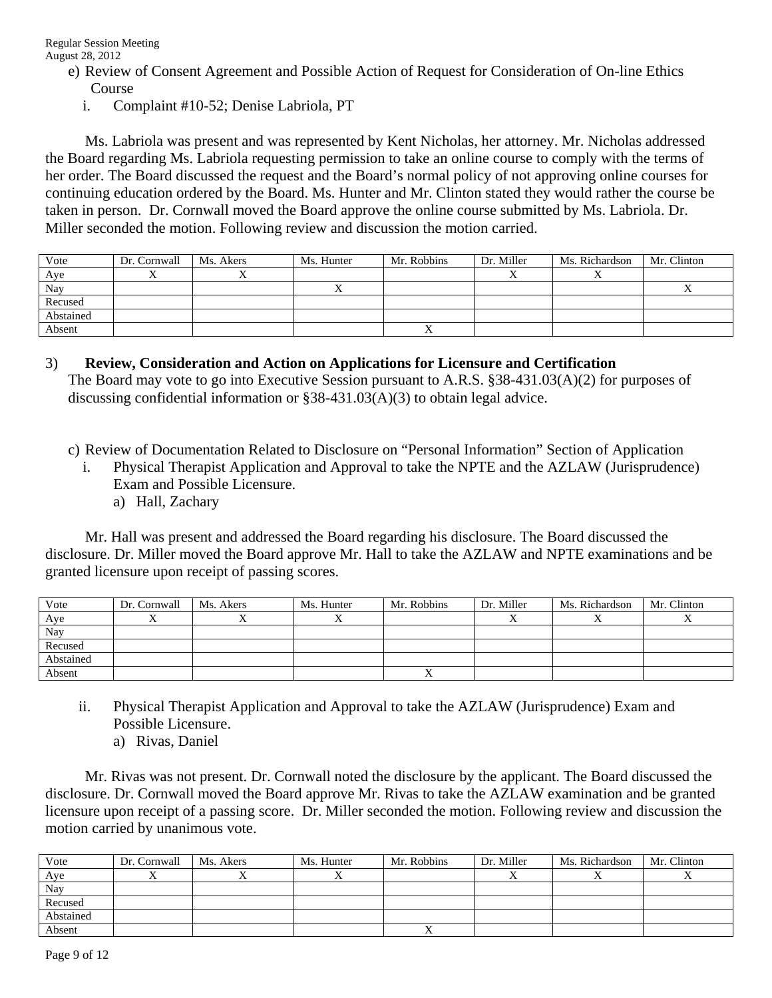- e) Review of Consent Agreement and Possible Action of Request for Consideration of On-line Ethics Course
	- i. Complaint #10-52; Denise Labriola, PT

 Ms. Labriola was present and was represented by Kent Nicholas, her attorney. Mr. Nicholas addressed the Board regarding Ms. Labriola requesting permission to take an online course to comply with the terms of her order. The Board discussed the request and the Board's normal policy of not approving online courses for continuing education ordered by the Board. Ms. Hunter and Mr. Clinton stated they would rather the course be taken in person. Dr. Cornwall moved the Board approve the online course submitted by Ms. Labriola. Dr. Miller seconded the motion. Following review and discussion the motion carried.

| Vote      | Dr. Cornwall | Ms. Akers | Ms. Hunter | Mr. Robbins | Dr. Miller | Ms. Richardson | Mr. Clinton |
|-----------|--------------|-----------|------------|-------------|------------|----------------|-------------|
| Aye       |              |           |            |             |            |                |             |
| Nay       |              |           |            |             |            |                |             |
| Recused   |              |           |            |             |            |                |             |
| Abstained |              |           |            |             |            |                |             |
| Absent    |              |           |            |             |            |                |             |

3) **Review, Consideration and Action on Applications for Licensure and Certification**  The Board may vote to go into Executive Session pursuant to A.R.S. §38-431.03(A)(2) for purposes of discussing confidential information or  $\S 38-431.03(A)(3)$  to obtain legal advice.

c) Review of Documentation Related to Disclosure on "Personal Information" Section of Application

- i. Physical Therapist Application and Approval to take the NPTE and the AZLAW (Jurisprudence) Exam and Possible Licensure.
	- a) Hall, Zachary

 Mr. Hall was present and addressed the Board regarding his disclosure. The Board discussed the disclosure. Dr. Miller moved the Board approve Mr. Hall to take the AZLAW and NPTE examinations and be granted licensure upon receipt of passing scores.

| Vote      | Dr. Cornwall | Ms. Akers | Ms. Hunter | Mr. Robbins | Dr. Miller | Ms. Richardson | Mr. Clinton |
|-----------|--------------|-----------|------------|-------------|------------|----------------|-------------|
| Aye       |              |           |            |             |            |                |             |
| Nay       |              |           |            |             |            |                |             |
| Recused   |              |           |            |             |            |                |             |
| Abstained |              |           |            |             |            |                |             |
| Absent    |              |           |            |             |            |                |             |

- ii. Physical Therapist Application and Approval to take the AZLAW (Jurisprudence) Exam and Possible Licensure.
	- a) Rivas, Daniel

 Mr. Rivas was not present. Dr. Cornwall noted the disclosure by the applicant. The Board discussed the disclosure. Dr. Cornwall moved the Board approve Mr. Rivas to take the AZLAW examination and be granted licensure upon receipt of a passing score. Dr. Miller seconded the motion. Following review and discussion the motion carried by unanimous vote.

| Vote      | Dr. Cornwall | Ms. Akers | Ms. Hunter | Mr. Robbins | Dr. Miller | Ms. Richardson | Mr. Clinton |
|-----------|--------------|-----------|------------|-------------|------------|----------------|-------------|
| Aye       |              |           | ∡          |             |            |                |             |
| Nay       |              |           |            |             |            |                |             |
| Recused   |              |           |            |             |            |                |             |
| Abstained |              |           |            |             |            |                |             |
| Absent    |              |           |            |             |            |                |             |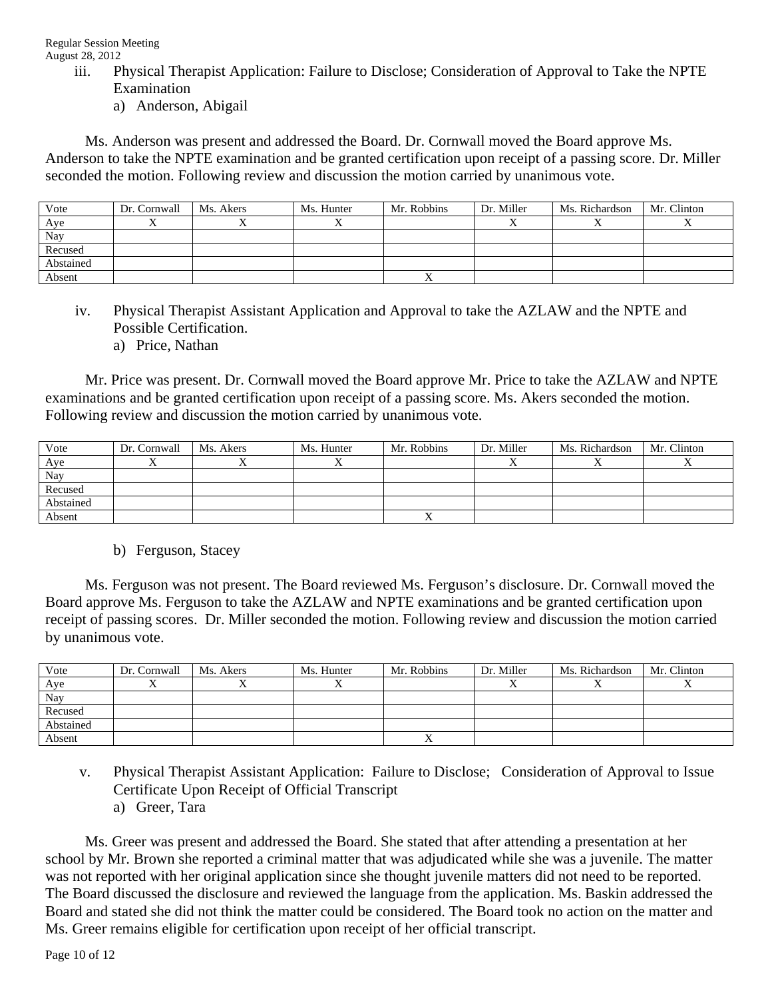- iii. Physical Therapist Application: Failure to Disclose; Consideration of Approval to Take the NPTE Examination
	- a) Anderson, Abigail

 Ms. Anderson was present and addressed the Board. Dr. Cornwall moved the Board approve Ms. Anderson to take the NPTE examination and be granted certification upon receipt of a passing score. Dr. Miller seconded the motion. Following review and discussion the motion carried by unanimous vote.

| Vote      | Dr. Cornwall | Ms. Akers | Ms. Hunter | Mr. Robbins | Dr. Miller | Ms. Richardson | Mr. Clinton |
|-----------|--------------|-----------|------------|-------------|------------|----------------|-------------|
| Aye       |              |           |            |             |            |                |             |
| Nay       |              |           |            |             |            |                |             |
| Recused   |              |           |            |             |            |                |             |
| Abstained |              |           |            |             |            |                |             |
| Absent    |              |           |            |             |            |                |             |

- iv. Physical Therapist Assistant Application and Approval to take the AZLAW and the NPTE and Possible Certification.
	- a) Price, Nathan

 Mr. Price was present. Dr. Cornwall moved the Board approve Mr. Price to take the AZLAW and NPTE examinations and be granted certification upon receipt of a passing score. Ms. Akers seconded the motion. Following review and discussion the motion carried by unanimous vote.

| Vote      | Dr. Cornwall | Ms. Akers | Ms. Hunter | Mr. Robbins | Dr. Miller | Ms. Richardson | Mr. Clinton |
|-----------|--------------|-----------|------------|-------------|------------|----------------|-------------|
| Aye       |              |           |            |             |            |                |             |
| Nay       |              |           |            |             |            |                |             |
| Recused   |              |           |            |             |            |                |             |
| Abstained |              |           |            |             |            |                |             |
| Absent    |              |           |            |             |            |                |             |

b) Ferguson, Stacey

 Ms. Ferguson was not present. The Board reviewed Ms. Ferguson's disclosure. Dr. Cornwall moved the Board approve Ms. Ferguson to take the AZLAW and NPTE examinations and be granted certification upon receipt of passing scores. Dr. Miller seconded the motion. Following review and discussion the motion carried by unanimous vote.

| Vote      | Dr. Cornwall | Ms. Akers | Ms. Hunter | Mr. Robbins | Dr. Miller | Ms. Richardson | Mr. Clinton |
|-----------|--------------|-----------|------------|-------------|------------|----------------|-------------|
| Aye       |              |           |            |             |            |                |             |
| Nay       |              |           |            |             |            |                |             |
| Recused   |              |           |            |             |            |                |             |
| Abstained |              |           |            |             |            |                |             |
| Absent    |              |           |            |             |            |                |             |

v. Physical Therapist Assistant Application: Failure to Disclose; Consideration of Approval to Issue Certificate Upon Receipt of Official Transcript a) Greer, Tara

 Ms. Greer was present and addressed the Board. She stated that after attending a presentation at her school by Mr. Brown she reported a criminal matter that was adjudicated while she was a juvenile. The matter was not reported with her original application since she thought juvenile matters did not need to be reported. The Board discussed the disclosure and reviewed the language from the application. Ms. Baskin addressed the Board and stated she did not think the matter could be considered. The Board took no action on the matter and Ms. Greer remains eligible for certification upon receipt of her official transcript.

Page 10 of 12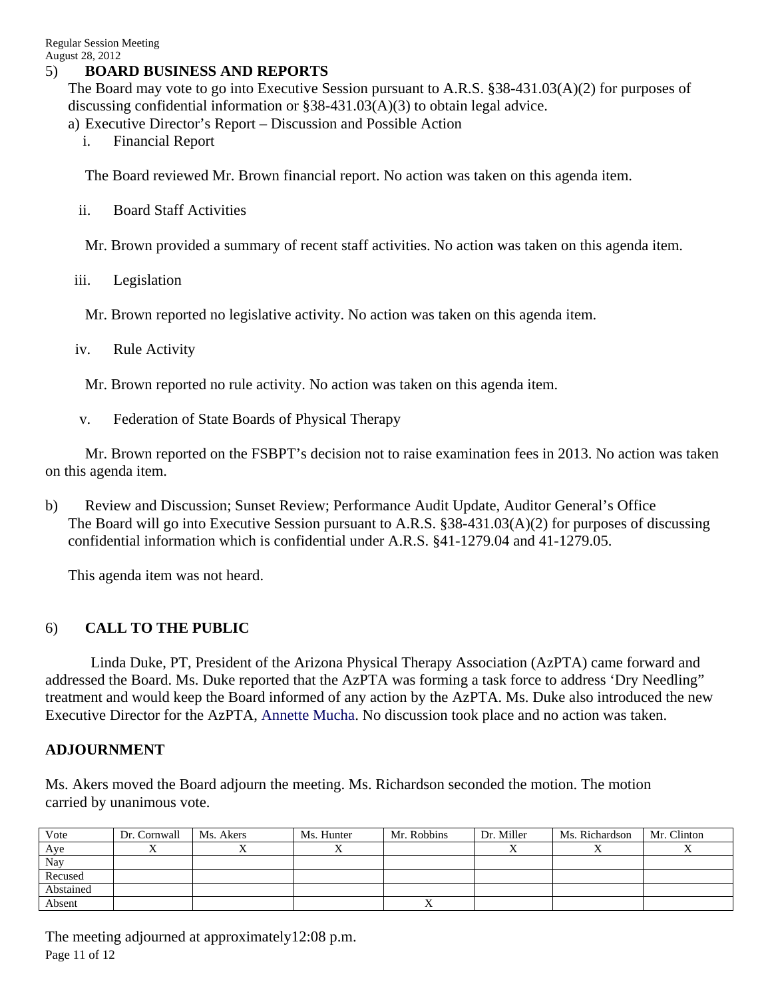### 5) **BOARD BUSINESS AND REPORTS**

The Board may vote to go into Executive Session pursuant to A.R.S. §38-431.03(A)(2) for purposes of discussing confidential information or §38-431.03(A)(3) to obtain legal advice.

a) Executive Director's Report – Discussion and Possible Action

i. Financial Report

The Board reviewed Mr. Brown financial report. No action was taken on this agenda item.

ii. Board Staff Activities

Mr. Brown provided a summary of recent staff activities. No action was taken on this agenda item.

iii. Legislation

Mr. Brown reported no legislative activity. No action was taken on this agenda item.

iv. Rule Activity

Mr. Brown reported no rule activity. No action was taken on this agenda item.

v. Federation of State Boards of Physical Therapy

 Mr. Brown reported on the FSBPT's decision not to raise examination fees in 2013. No action was taken on this agenda item.

b) Review and Discussion; Sunset Review; Performance Audit Update, Auditor General's Office The Board will go into Executive Session pursuant to A.R.S. §38-431.03(A)(2) for purposes of discussing confidential information which is confidential under A.R.S. §41-1279.04 and 41-1279.05.

This agenda item was not heard.

## 6) **CALL TO THE PUBLIC**

Linda Duke, PT, President of the Arizona Physical Therapy Association (AzPTA) came forward and addressed the Board. Ms. Duke reported that the AzPTA was forming a task force to address 'Dry Needling" treatment and would keep the Board informed of any action by the AzPTA. Ms. Duke also introduced the new Executive Director for the AzPTA, Annette Mucha. No discussion took place and no action was taken.

### **ADJOURNMENT**

Ms. Akers moved the Board adjourn the meeting. Ms. Richardson seconded the motion. The motion carried by unanimous vote.

| Vote      | Dr. Cornwall | Ms. Akers | Ms. Hunter | Mr. Robbins | Dr. Miller | Ms. Richardson | Mr. Clinton |
|-----------|--------------|-----------|------------|-------------|------------|----------------|-------------|
| Aye       |              |           |            |             |            |                |             |
| Nay       |              |           |            |             |            |                |             |
| Recused   |              |           |            |             |            |                |             |
| Abstained |              |           |            |             |            |                |             |
| Absent    |              |           |            |             |            |                |             |

Page 11 of 12 The meeting adjourned at approximately12:08 p.m.